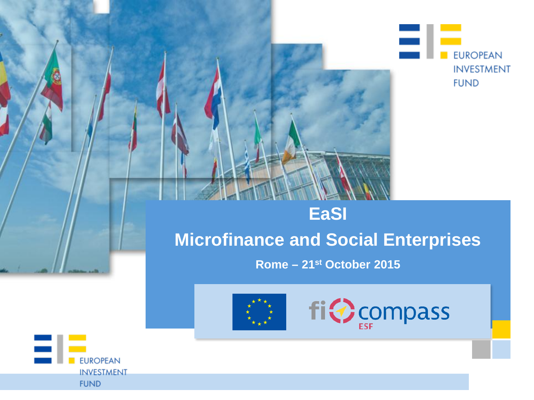

## **EaSI Microfinance and Social Enterprises**

Rome - 21<sup>st</sup> October 2015





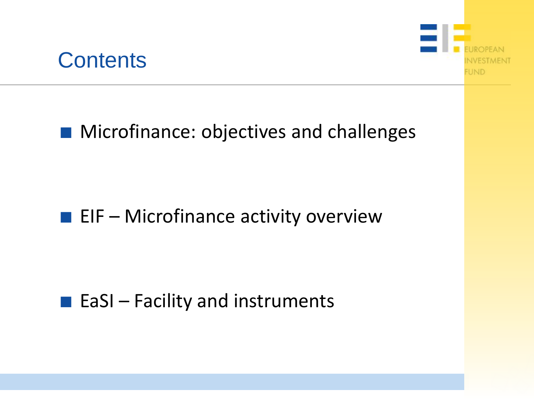



### ■ Microfinance: objectives and challenges

### $\blacksquare$  EIF – Microfinance activity overview

### $\blacksquare$  EaSI – Facility and instruments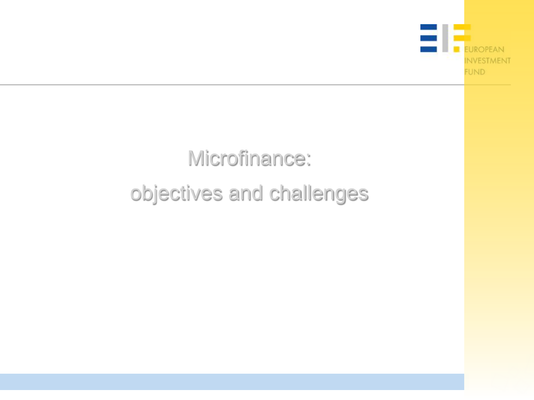

# Microfinance: objectives and challenges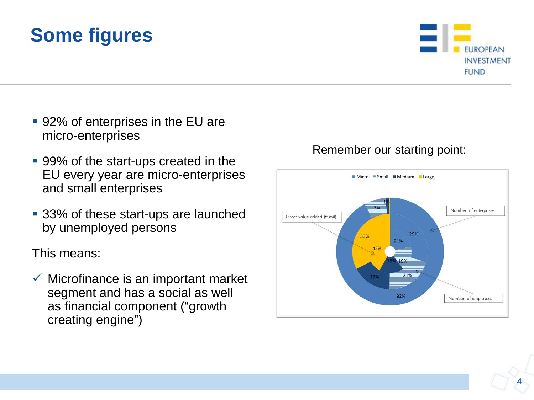## **Some figures**

- 92% of enterprises in the EU are micro-enterprises
- 99% of the start-ups created in the EU every year are micro-enterprises and small enterprises
- 33% of these start-ups are launched by unemployed persons

This means:

 $\checkmark$  Microfinance is an important market segment and has a social as well as financial component ("growth creating engine")

#### Remember our starting point:



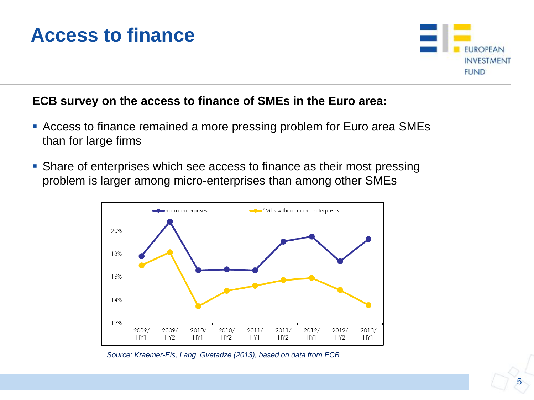### **Access to finance**



#### **ECB survey on the access to finance of SMEs in the Euro area:**

- Access to finance remained a more pressing problem for Euro area SMEs than for large firms
- Share of enterprises which see access to finance as their most pressing problem is larger among micro-enterprises than among other SMEs



*Source: Kraemer-Eis, Lang, Gvetadze (2013), based on data from ECB*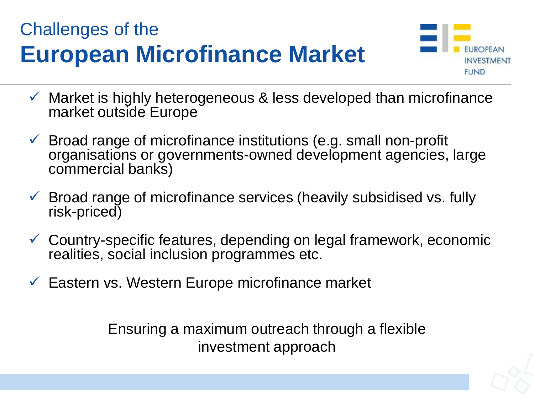## Challenges of the **European Microfinance Market**



- $\checkmark$  Market is highly heterogeneous & less developed than microfinance market outside Europe
- $\checkmark$  Broad range of microfinance institutions (e.g. small non-profit organisations or governments-owned development agencies, large commercial banks)
- $\checkmark$  Broad range of microfinance services (heavily subsidised vs. fully risk-priced)
- Country-specific features, depending on legal framework, economic realities, social inclusion programmes etc.
- Eastern vs. Western Europe microfinance market

Ensuring a maximum outreach through a flexible investment approach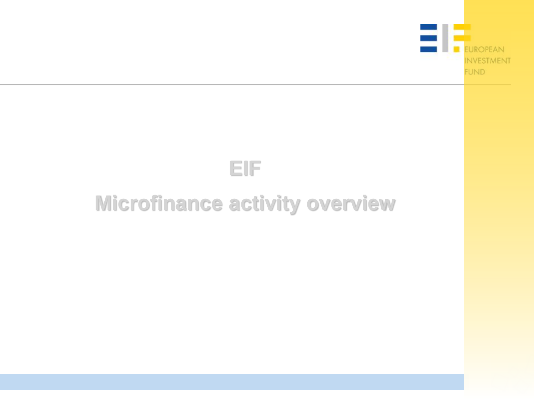



## **Microfinance activity overview**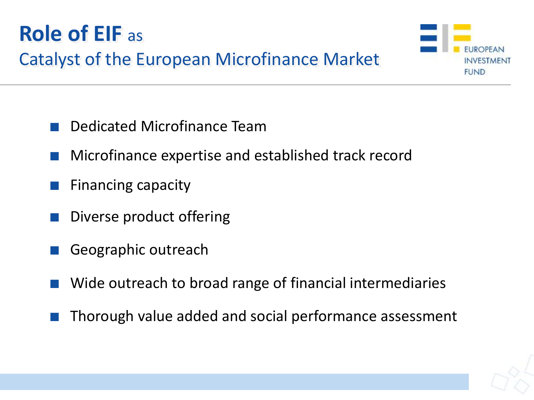



- Dedicated Microfinance Team
- Microfinance expertise and established track record
- Financing capacity
- Diverse product offering
- Geographic outreach
- Wide outreach to broad range of financial intermediaries
- Thorough value added and social performance assessment

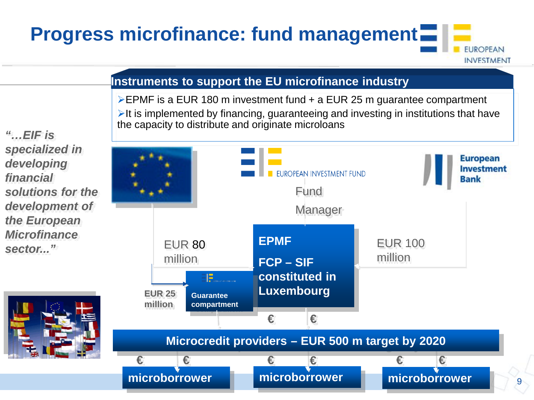## **Progress microfinance: fund management**

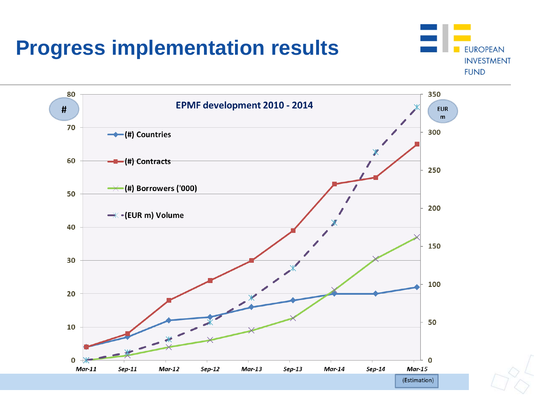## **Progress implementation results**



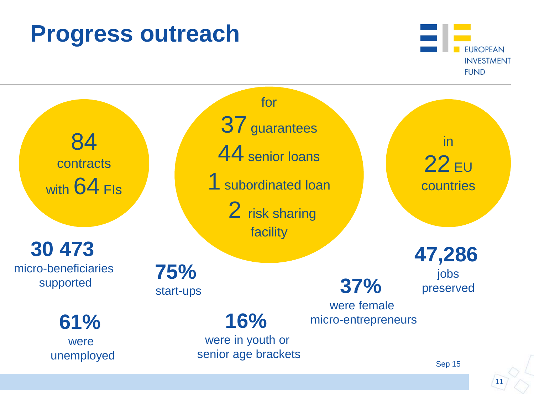## **Progress outreach**





Sep 15

11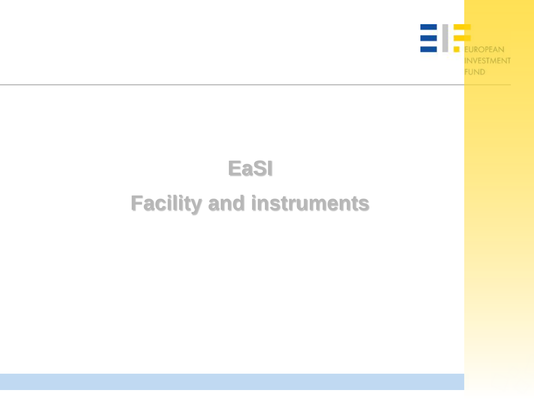

## **EaSI**

## **Facility and instruments**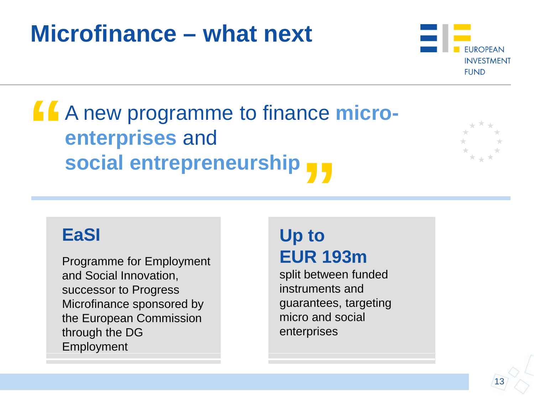## **Microfinance – what next**



**" " social entrepreneurship** A new programme to finance **microenterprises** and



### **EaSI**

Programme for Employment and Social Innovation, successor to Progress Microfinance sponsored by the European Commission through the DG Employment

### **Up to EUR 193m**

split between funded instruments and guarantees, targeting micro and social enterprises

13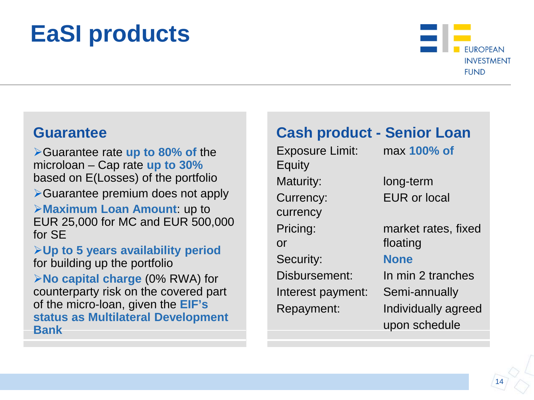# **EaSI products**



#### **Guarantee**

Guarantee rate **up to 80% of** the microloan – Cap rate **up to 30%**  based on E(Losses) of the portfolio **≻Guarantee premium does not apply Maximum Loan Amount**: up to EUR 25,000 for MC and EUR 500,000 for SE **Up to 5 years availability period**  for building up the portfolio **No capital charge** (0% RWA) for counterparty risk on the covered part of the micro-loan, given the **EIF's status as Multilateral Development Bank** 

#### **Cash product - Senior Loan**

Exposure Limit: max **100% of Equity** Maturity: long-term Currency: EUR or local currency Pricing: market rates, fixed or floating Security: **None** Disbursement: In min 2 tranches Interest payment: Semi-annually Repayment: Individually agreed

upon schedule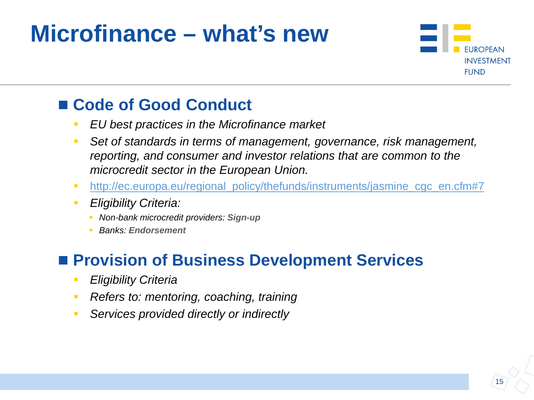## **Microfinance – what's new**



### ■ Code of Good Conduct

- *EU best practices in the Microfinance market*
- *Set of standards in terms of management, governance, risk management, reporting, and consumer and investor relations that are common to the microcredit sector in the European Union.*
- http://ec.europa.eu/regional policy/thefunds/instruments/jasmine cgc en.cfm#7
- *Eligibility Criteria:*
	- *Non-bank microcredit providers: Sign-up*
	- *Banks: Endorsement*

### ■ Provision of Business Development Services

- *Eligibility Criteria*
- *Refers to: mentoring, coaching, training*
- *Services provided directly or indirectly*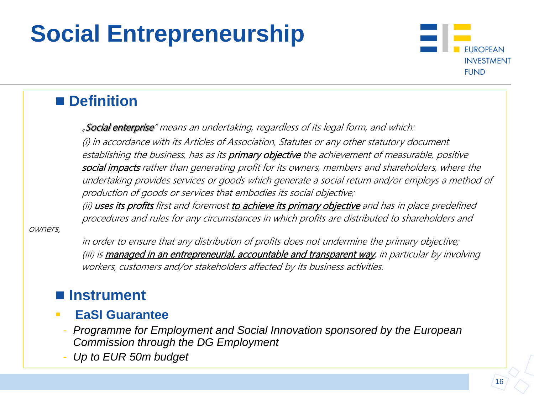# **Social Entrepreneurship**



### **Definition**

"Social enterprise" means an undertaking, regardless of its legal form, and which:

(i) in accordance with its Articles of Association, Statutes or any other statutory document establishing the business, has as its *primary objective* the achievement of measurable, positive social impacts rather than generating profit for its owners, members and shareholders, where the undertaking provides services or goods which generate a social return and/or employs a method of production of goods or services that embodies its social objective;

(ii) uses its profits first and foremost to achieve its primary objective and has in place predefined procedures and rules for any circumstances in which profits are distributed to shareholders and

owners,

in order to ensure that any distribution of profits does not undermine the primary objective; (iii) is managed in an entrepreneurial, accountable and transparent way, in particular by involving workers, customers and/or stakeholders affected by its business activities.

### **Instrument**

- **EaSI Guarantee**
	- *Programme for Employment and Social Innovation sponsored by the European Commission through the DG Employment*
	- *Up to EUR 50m budget*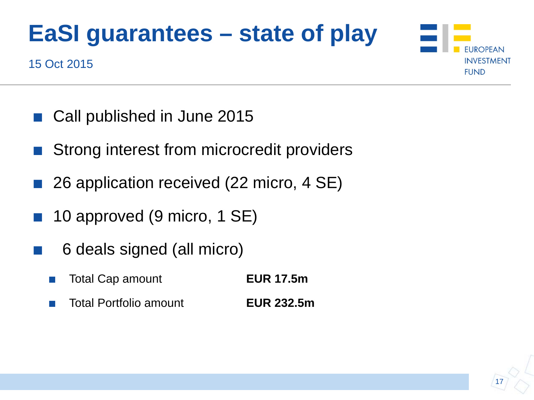# **EaSI guarantees – state of play**



- 15 Oct 2015
	- Call published in June 2015
	- Strong interest from microcredit providers
	- 26 application received (22 micro, 4 SE)
	- 10 approved (9 micro, 1 SE)
	- 6 deals signed (all micro)
		- Total Cap amount **EUR 17.5m**
		- Total Portfolio amount **EUR 232.5m**

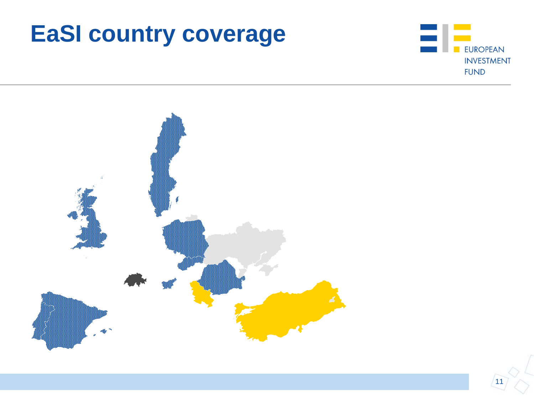# **EaSI country coverage**



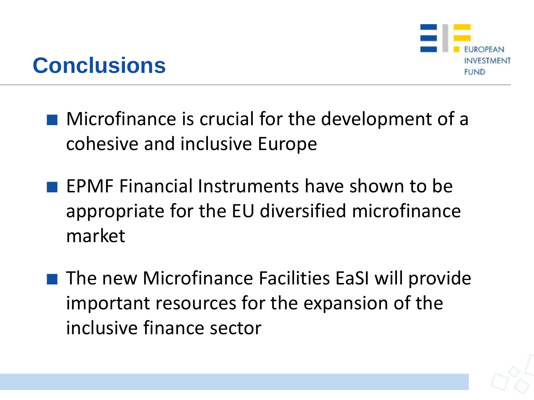

## **Conclusions**

- Microfinance is crucial for the development of a cohesive and inclusive Europe
- EPMF Financial Instruments have shown to be appropriate for the EU diversified microfinance market
- The new Microfinance Facilities EaSI will provide important resources for the expansion of the inclusive finance sector